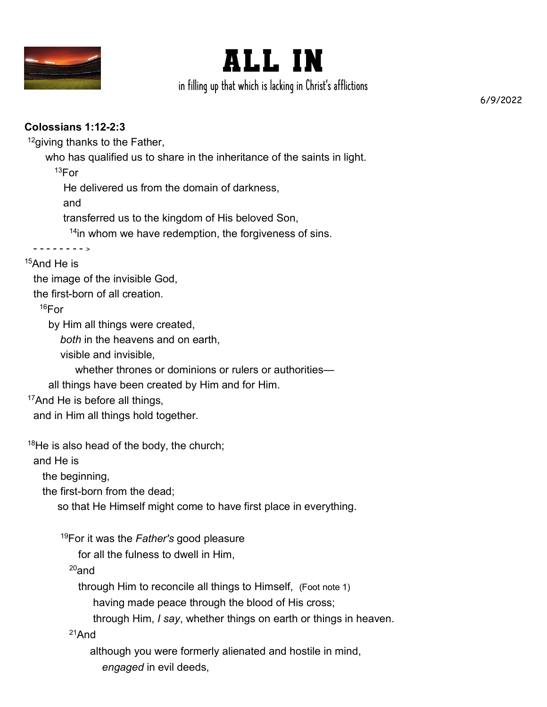



in filling up that which is lacking in Christ's afflictions

6/9/2022

## **Colossians 1:12-2:3**

<sup>12</sup>giving thanks to the Father,

who has qualified us to share in the inheritance of the saints in light.

 $13$ For

He delivered us from the domain of darkness,

and

transferred us to the kingdom of His beloved Son,

<sup>14</sup>in whom we have redemption, the forgiveness of sins.

 - - - - - - - - <sup>&</sup>gt;  $15$ And He is

the image of the invisible God,

the first-born of all creation.

 $16$ For

by Him all things were created,

*both* in the heavens and on earth,

visible and invisible,

whether thrones or dominions or rulers or authorities—

all things have been created by Him and for Him.

<sup>17</sup>And He is before all things,

and in Him all things hold together.

 $18$ He is also head of the body, the church;

and He is

the beginning,

the first-born from the dead;

so that He Himself might come to have first place in everything.

<sup>19</sup>For it was the *Father's* good pleasure

for all the fulness to dwell in Him,

 $20$ and

through Him to reconcile all things to Himself, (Foot note 1)

having made peace through the blood of His cross;

through Him, *I say*, whether things on earth or things in heaven.

<sup>21</sup>And

although you were formerly alienated and hostile in mind,

*engaged* in evil deeds,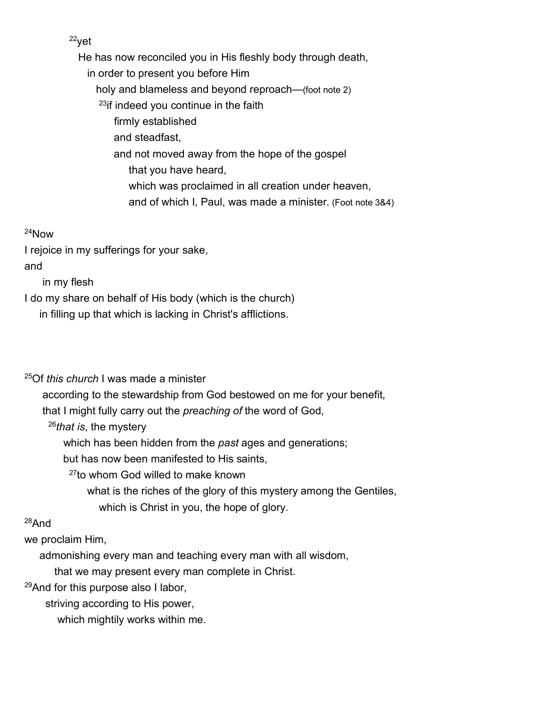<sup>22</sup>yet

 He has now reconciled you in His fleshly body through death, in order to present you before Him holy and blameless and beyond reproach—(foot note 2) <sup>23</sup>if indeed you continue in the faith firmly established and steadfast, and not moved away from the hope of the gospel that you have heard, which was proclaimed in all creation under heaven, and of which I, Paul, was made a minister. (Foot note 3&4)

#### <sup>24</sup>Now

I rejoice in my sufferings for your sake,

and

in my flesh

I do my share on behalf of His body (which is the church)

in filling up that which is lacking in Christ's afflictions.

<sup>25</sup>Of *this church* I was made a minister

according to the stewardship from God bestowed on me for your benefit,

that I might fully carry out the *preaching of* the word of God,

<sup>26</sup>*that is*, the mystery

which has been hidden from the *past* ages and generations;

but has now been manifested to His saints,

<sup>27</sup>to whom God willed to make known

 what is the riches of the glory of this mystery among the Gentiles, which is Christ in you, the hope of glory.

# <sup>28</sup>And

we proclaim Him,

admonishing every man and teaching every man with all wisdom,

that we may present every man complete in Christ.

<sup>29</sup>And for this purpose also I labor,

striving according to His power,

which mightily works within me.